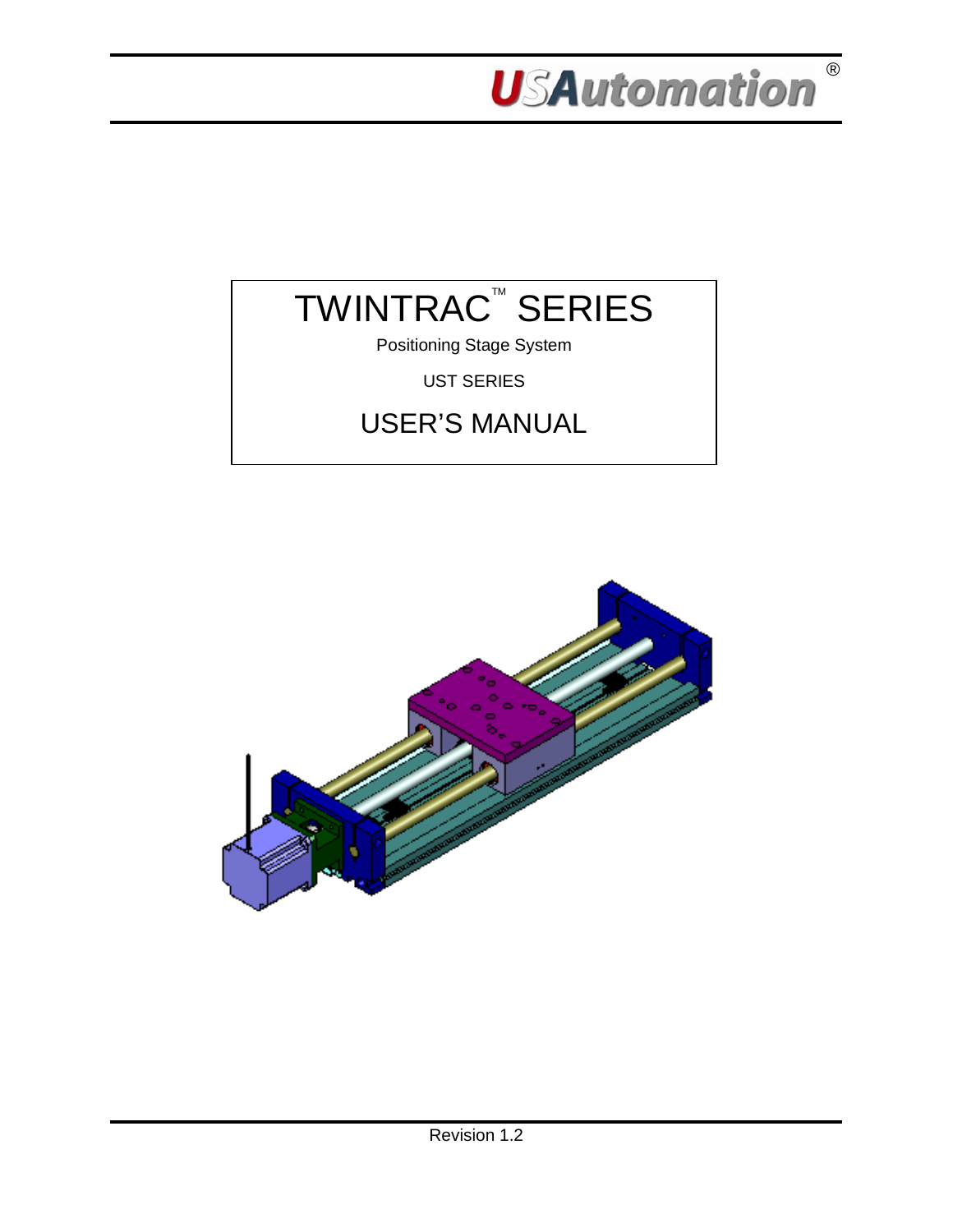



Positioning Stage System

UST SERIES

# USER'S MANUAL

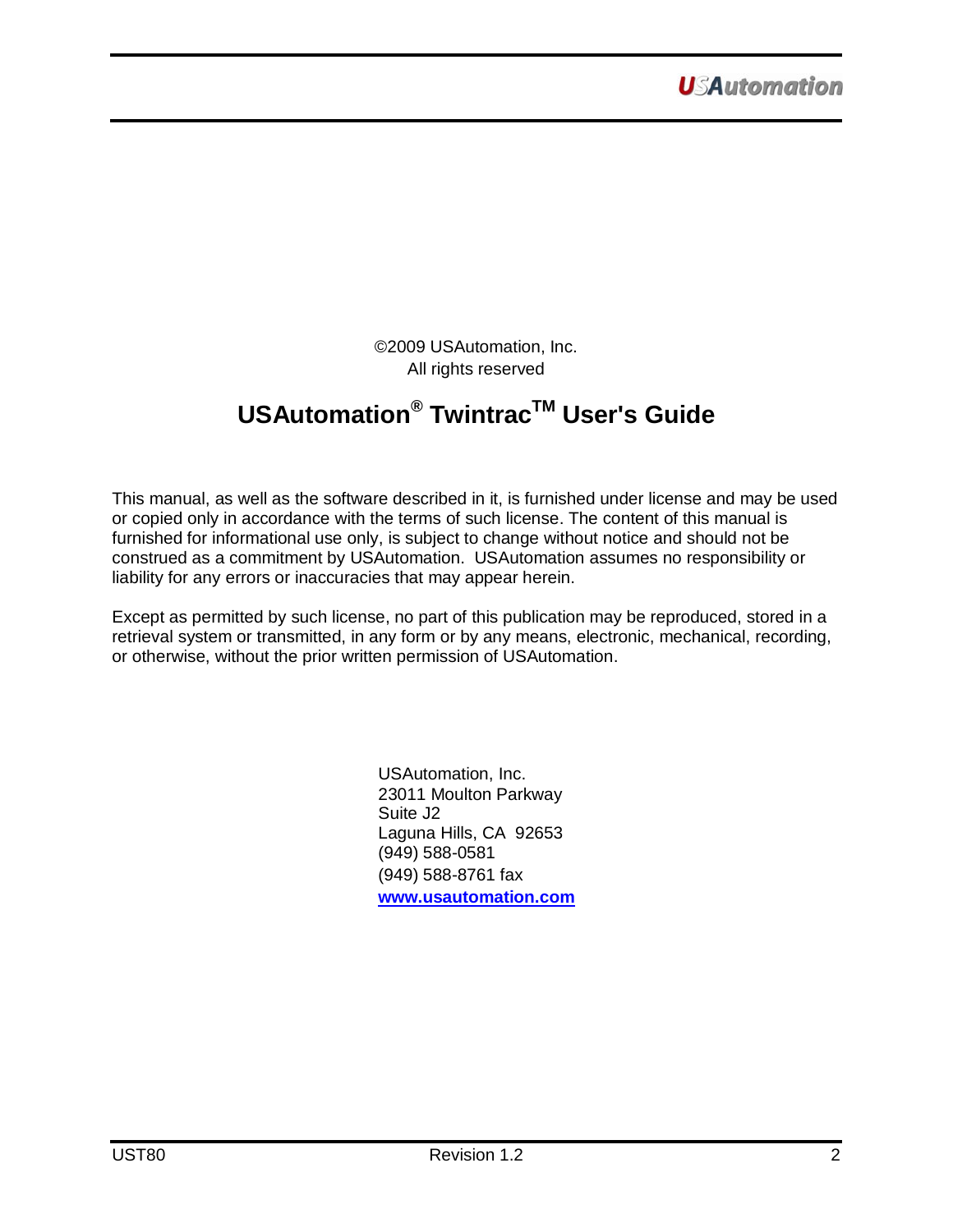©2009 USAutomation, Inc. All rights reserved

# **USAutomation® TwintracTM User's Guide**

This manual, as well as the software described in it, is furnished under license and may be used or copied only in accordance with the terms of such license. The content of this manual is furnished for informational use only, is subject to change without notice and should not be construed as a commitment by USAutomation. USAutomation assumes no responsibility or liability for any errors or inaccuracies that may appear herein.

Except as permitted by such license, no part of this publication may be reproduced, stored in a retrieval system or transmitted, in any form or by any means, electronic, mechanical, recording, or otherwise, without the prior written permission of USAutomation.

> USAutomation, Inc. 23011 Moulton Parkway Suite J2 Laguna Hills, CA 92653 (949) 588-0581 (949) 588-8761 fax **[www.usautomation.com](http://www.usautomation.com/)**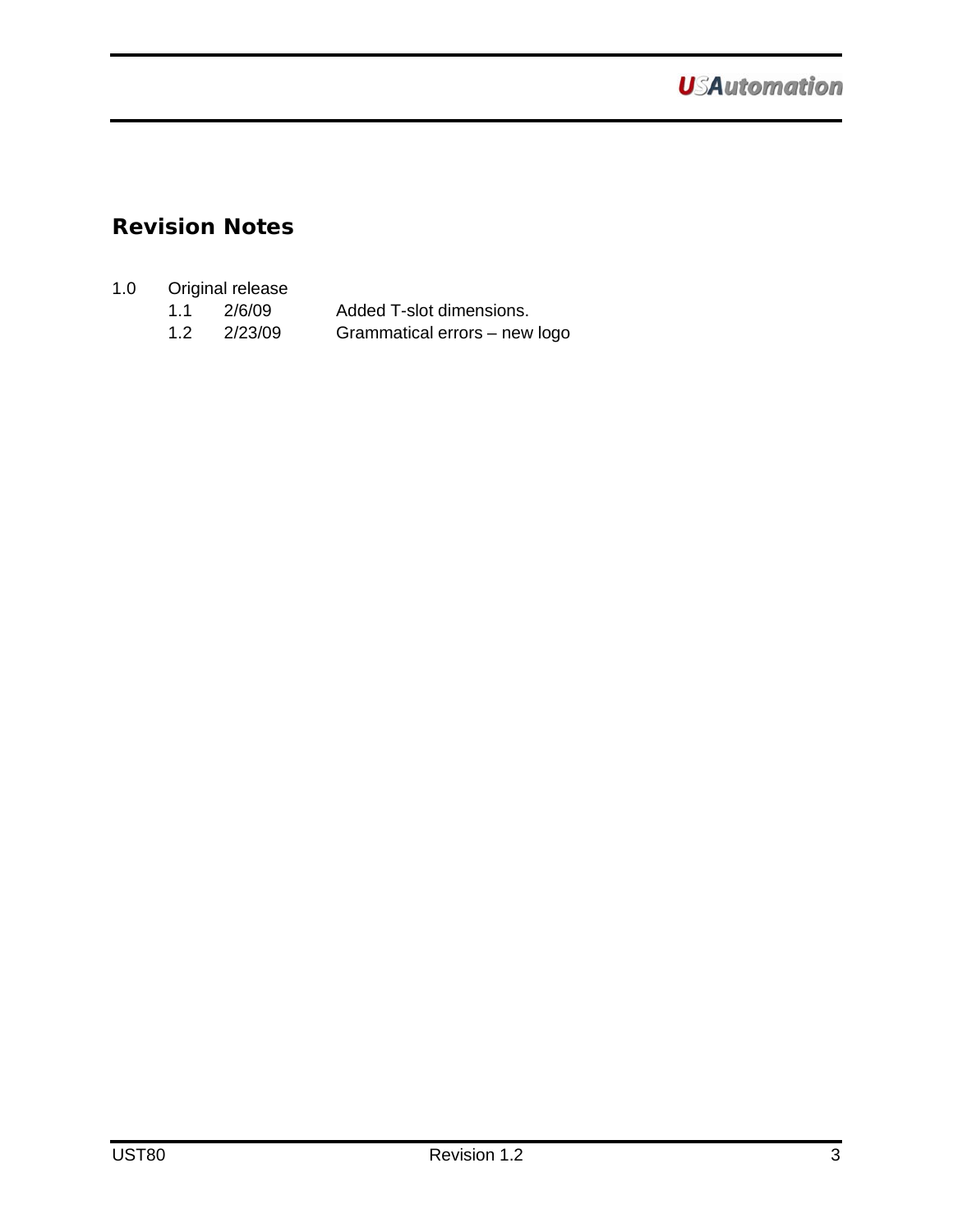## <span id="page-2-0"></span>**Revision Notes**

### 1.0 Original release

| 1.1 | 2/6/09  | Added T-slot dimensions.      |
|-----|---------|-------------------------------|
| 1.2 | 2/23/09 | Grammatical errors - new logo |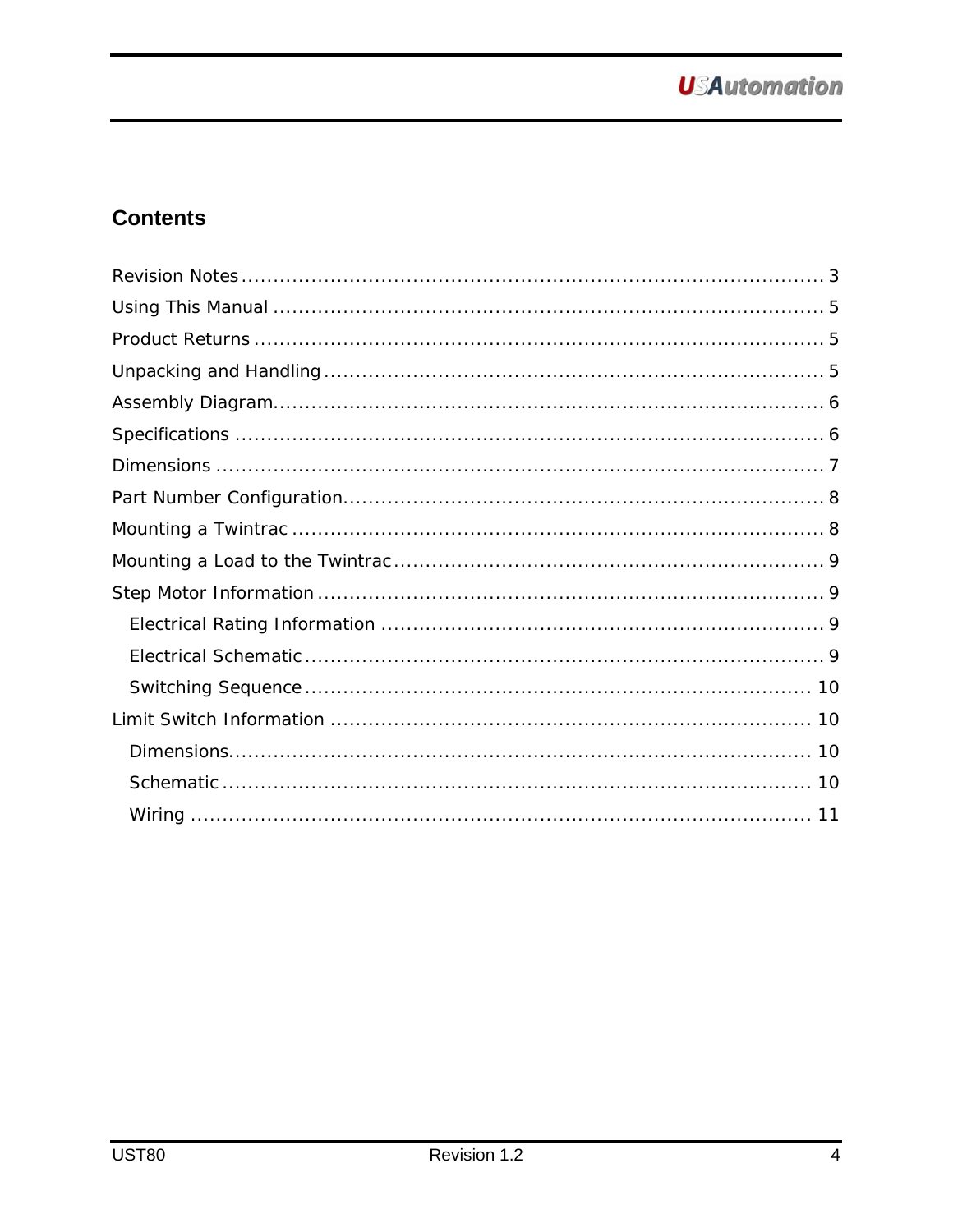## **Contents**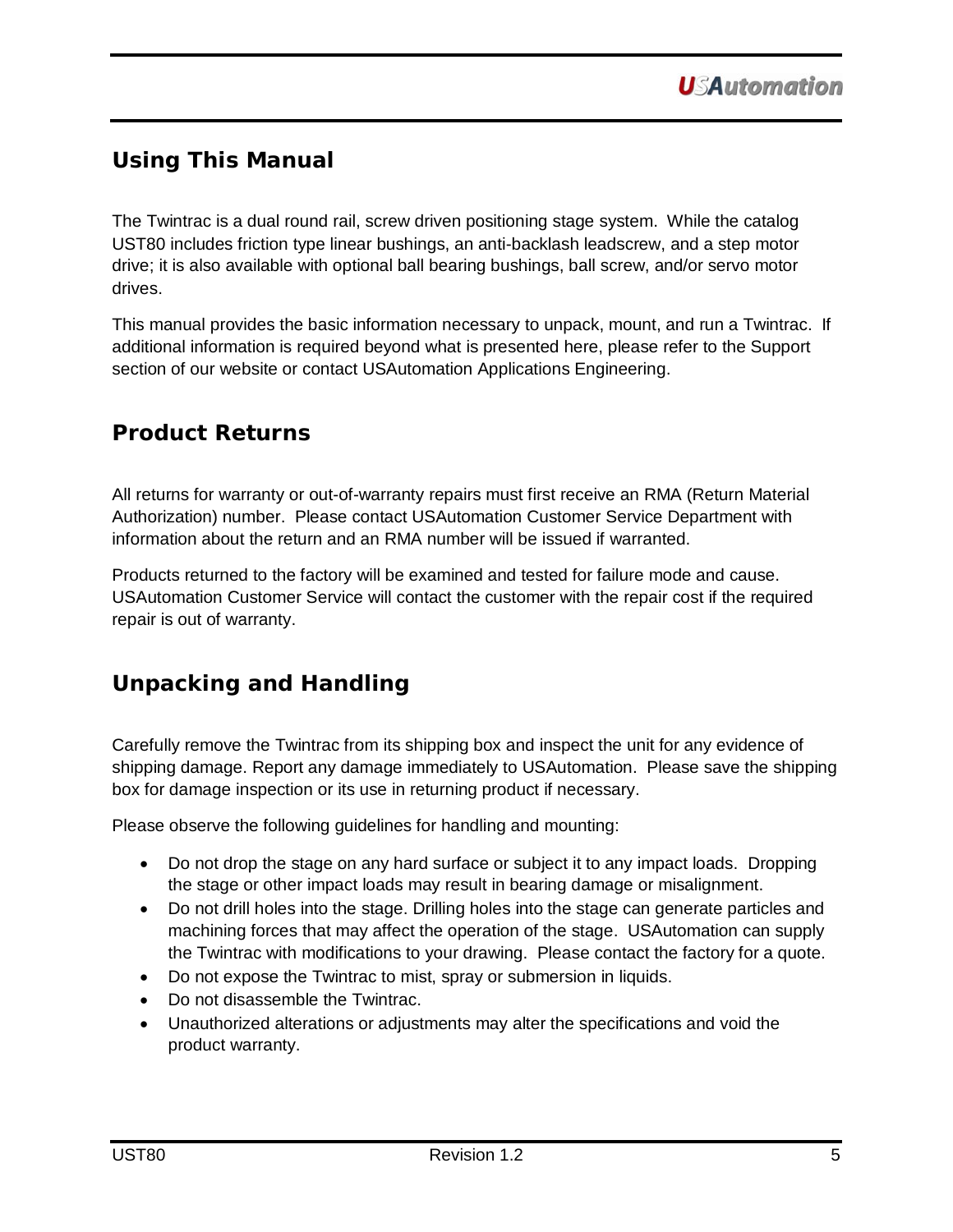## <span id="page-4-0"></span>**Using This Manual**

The Twintrac is a dual round rail, screw driven positioning stage system. While the catalog UST80 includes friction type linear bushings, an anti-backlash leadscrew, and a step motor drive; it is also available with optional ball bearing bushings, ball screw, and/or servo motor drives.

This manual provides the basic information necessary to unpack, mount, and run a Twintrac. If additional information is required beyond what is presented here, please refer to the Support section of our website or contact USAutomation Applications Engineering.

## <span id="page-4-1"></span>**Product Returns**

All returns for warranty or out-of-warranty repairs must first receive an RMA (Return Material Authorization) number. Please contact USAutomation Customer Service Department with information about the return and an RMA number will be issued if warranted.

Products returned to the factory will be examined and tested for failure mode and cause. USAutomation Customer Service will contact the customer with the repair cost if the required repair is out of warranty.

## <span id="page-4-2"></span>**Unpacking and Handling**

Carefully remove the Twintrac from its shipping box and inspect the unit for any evidence of shipping damage. Report any damage immediately to USAutomation. Please save the shipping box for damage inspection or its use in returning product if necessary.

Please observe the following guidelines for handling and mounting:

- Do not drop the stage on any hard surface or subject it to any impact loads. Dropping the stage or other impact loads may result in bearing damage or misalignment.
- Do not drill holes into the stage. Drilling holes into the stage can generate particles and machining forces that may affect the operation of the stage. USAutomation can supply the Twintrac with modifications to your drawing. Please contact the factory for a quote.
- Do not expose the Twintrac to mist, spray or submersion in liquids.
- Do not disassemble the Twintrac.
- Unauthorized alterations or adjustments may alter the specifications and void the product warranty.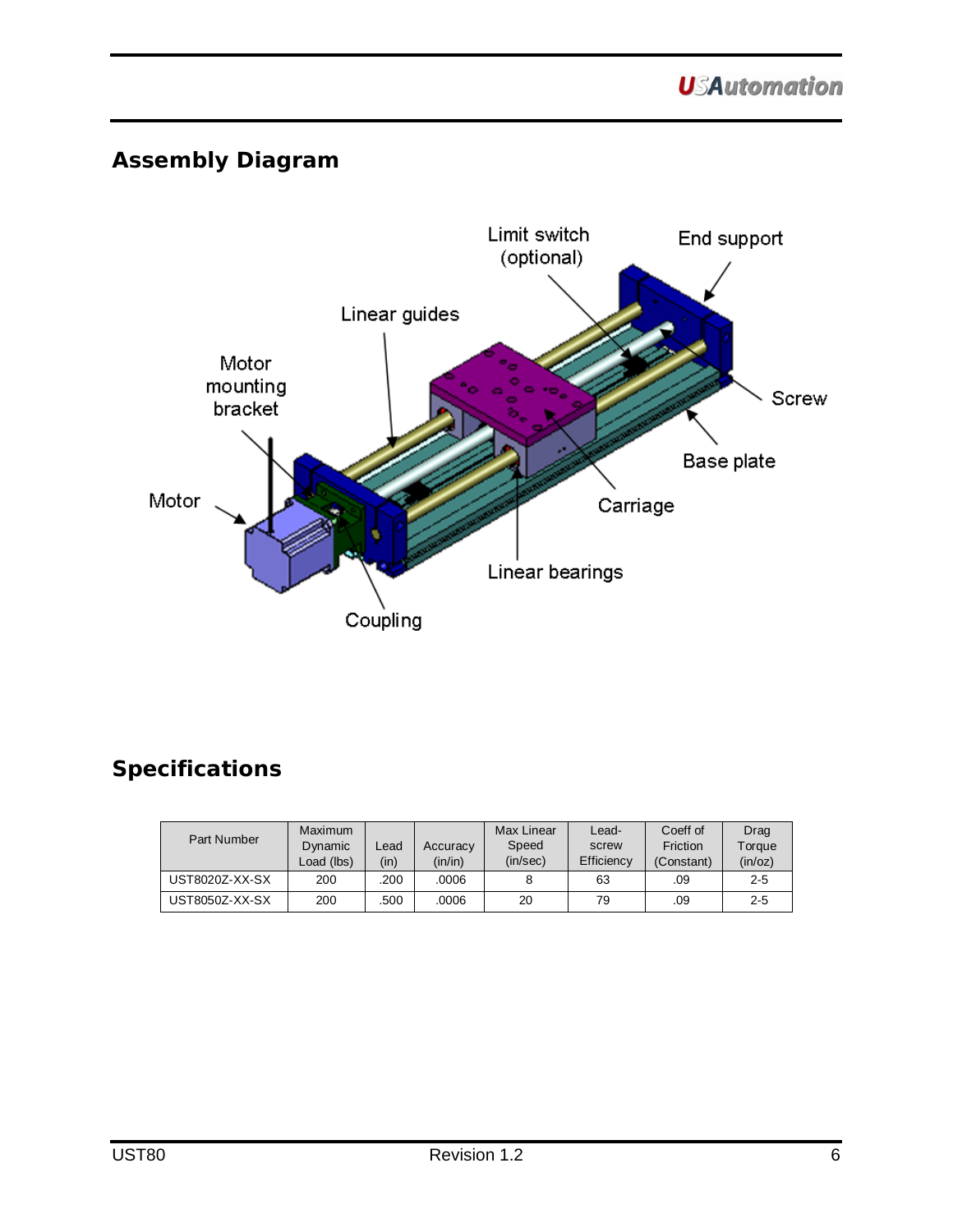## <span id="page-5-0"></span>**Assembly Diagram**



## <span id="page-5-1"></span>**Specifications**

| Part Number    | Maximum<br>Dynamic<br>Load (lbs) | Lead.<br>(in) | Accuracy<br>(in/in) | <b>Max Linear</b><br>Speed<br>(in/sec) | Lead-<br>screw<br>Efficiency | Coeff of<br>Friction<br>(Constant) | Drag<br>Torque<br>(in/oz) |
|----------------|----------------------------------|---------------|---------------------|----------------------------------------|------------------------------|------------------------------------|---------------------------|
| UST8020Z-XX-SX | 200                              | .200          | .0006               |                                        | 63                           | .09                                | $2 - 5$                   |
| UST8050Z-XX-SX | 200                              | .500          | .0006               | 20                                     | 79                           | .09                                | $2 - 5$                   |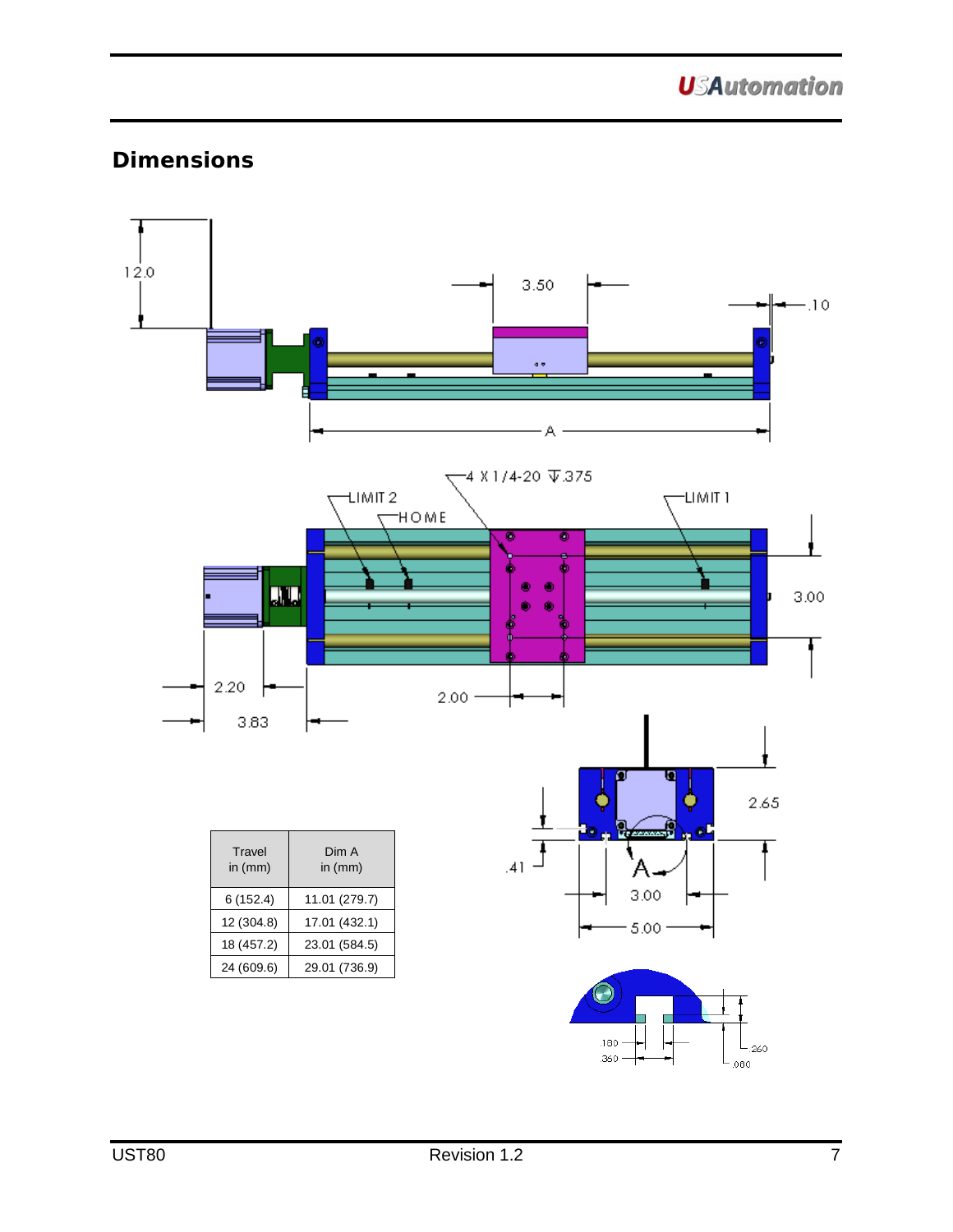**USAutomation** 

## **Dimensions**

<span id="page-6-0"></span>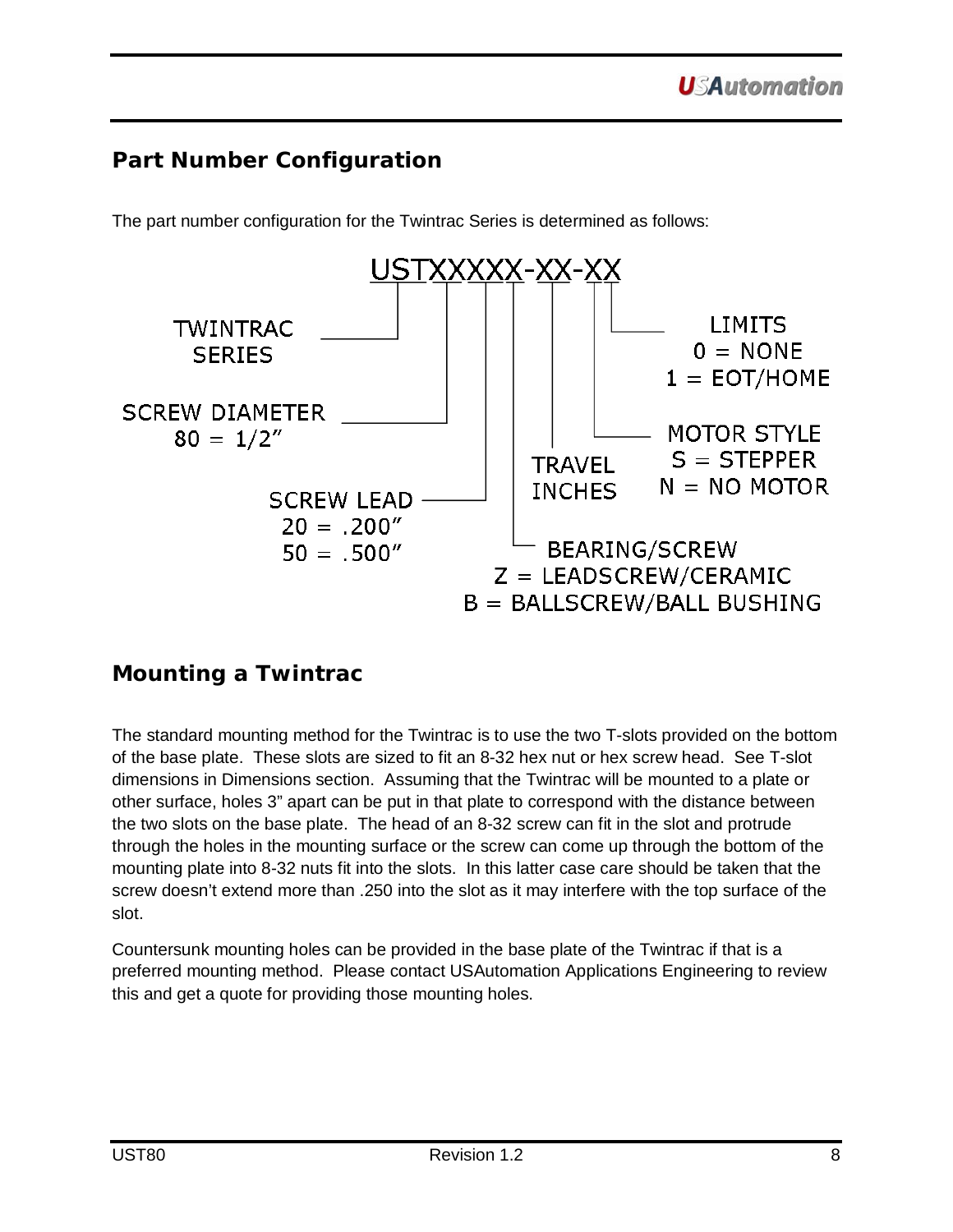## <span id="page-7-0"></span>**Part Number Configuration**

The part number configuration for the Twintrac Series is determined as follows:



## <span id="page-7-1"></span>**Mounting a Twintrac**

The standard mounting method for the Twintrac is to use the two T-slots provided on the bottom of the base plate. These slots are sized to fit an 8-32 hex nut or hex screw head. See T-slot dimensions in Dimensions section. Assuming that the Twintrac will be mounted to a plate or other surface, holes 3" apart can be put in that plate to correspond with the distance between the two slots on the base plate. The head of an 8-32 screw can fit in the slot and protrude through the holes in the mounting surface or the screw can come up through the bottom of the mounting plate into 8-32 nuts fit into the slots. In this latter case care should be taken that the screw doesn't extend more than .250 into the slot as it may interfere with the top surface of the slot.

Countersunk mounting holes can be provided in the base plate of the Twintrac if that is a preferred mounting method. Please contact USAutomation Applications Engineering to review this and get a quote for providing those mounting holes.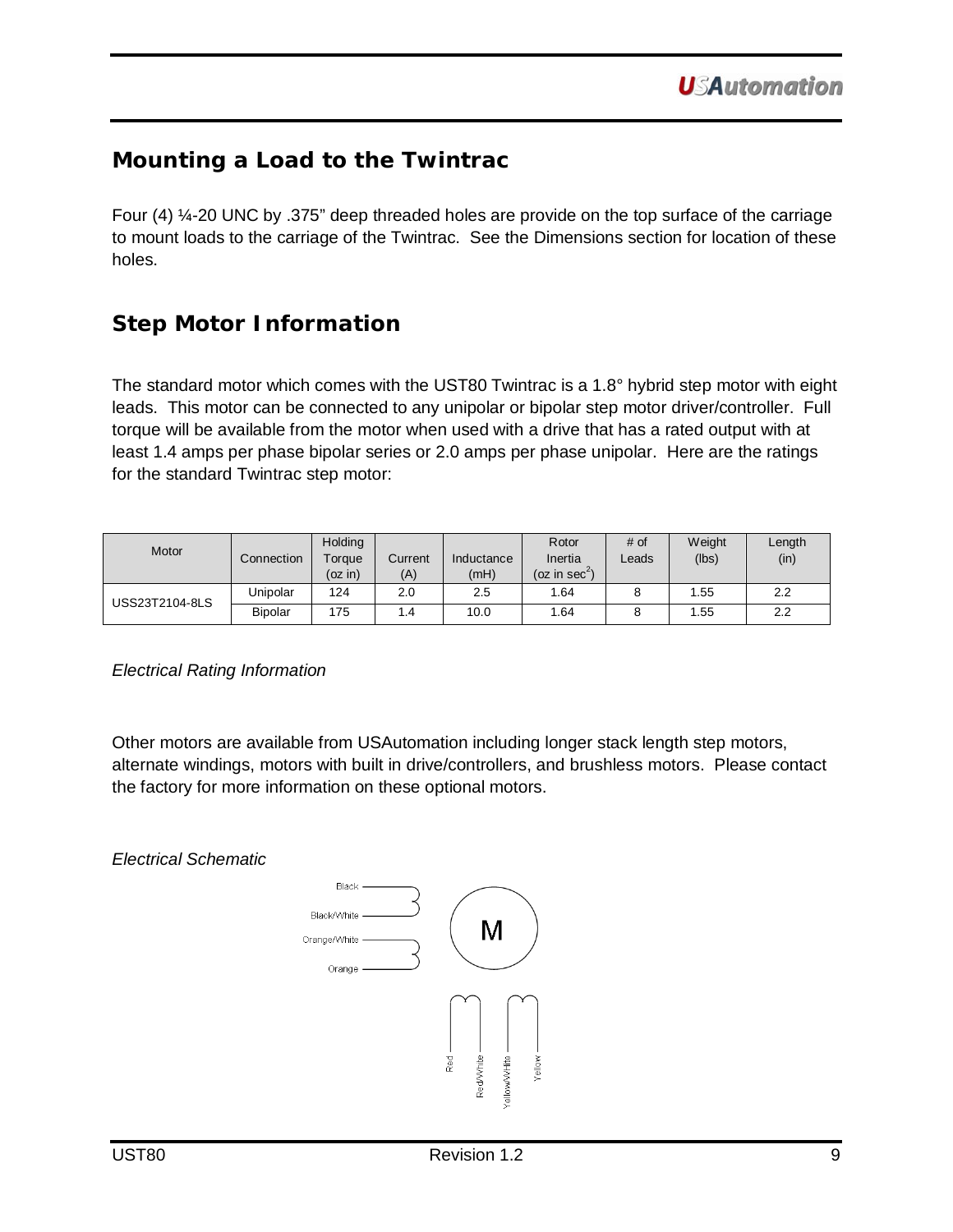## <span id="page-8-3"></span><span id="page-8-0"></span>**Mounting a Load to the Twintrac**

Four (4) ¼-20 UNC by .375" deep threaded holes are provide on the top surface of the carriage to mount loads to the carriage of the Twintrac. See the Dimensions section for location of these holes.

## <span id="page-8-1"></span>**Step Motor Information**

The standard motor which comes with the UST80 Twintrac is a 1.8° hybrid step motor with eight leads. This motor can be connected to any unipolar or bipolar step motor driver/controller. Full torque will be available from the motor when used with a drive that has a rated output with at least 1.4 amps per phase bipolar series or 2.0 amps per phase unipolar. Here are the ratings for the standard Twintrac step motor:

| Motor          | Connection     | Holding<br>Torque<br>(oz in) | Current<br>(A) | Inductance<br>(mH) | Rotor<br>Inertia<br>(oz in sec <sup>2</sup> ) | # of<br>Leads | Weight<br>(lbs) | Length<br>(in) |
|----------------|----------------|------------------------------|----------------|--------------------|-----------------------------------------------|---------------|-----------------|----------------|
| USS23T2104-8LS | Unipolar       | 124                          | 2.0            | 2.5                | 1.64                                          |               | .55             | 2.2            |
|                | <b>Bipolar</b> | 175                          | 4.،            | 10.0               | .64                                           |               | .55             | 2.2            |

<span id="page-8-2"></span>*Electrical Rating Information*

Other motors are available from USAutomation including longer stack length step motors, alternate windings, motors with built in drive/controllers, and brushless motors. Please contact the factory for more information on these optional motors.

*Electrical Schematic*

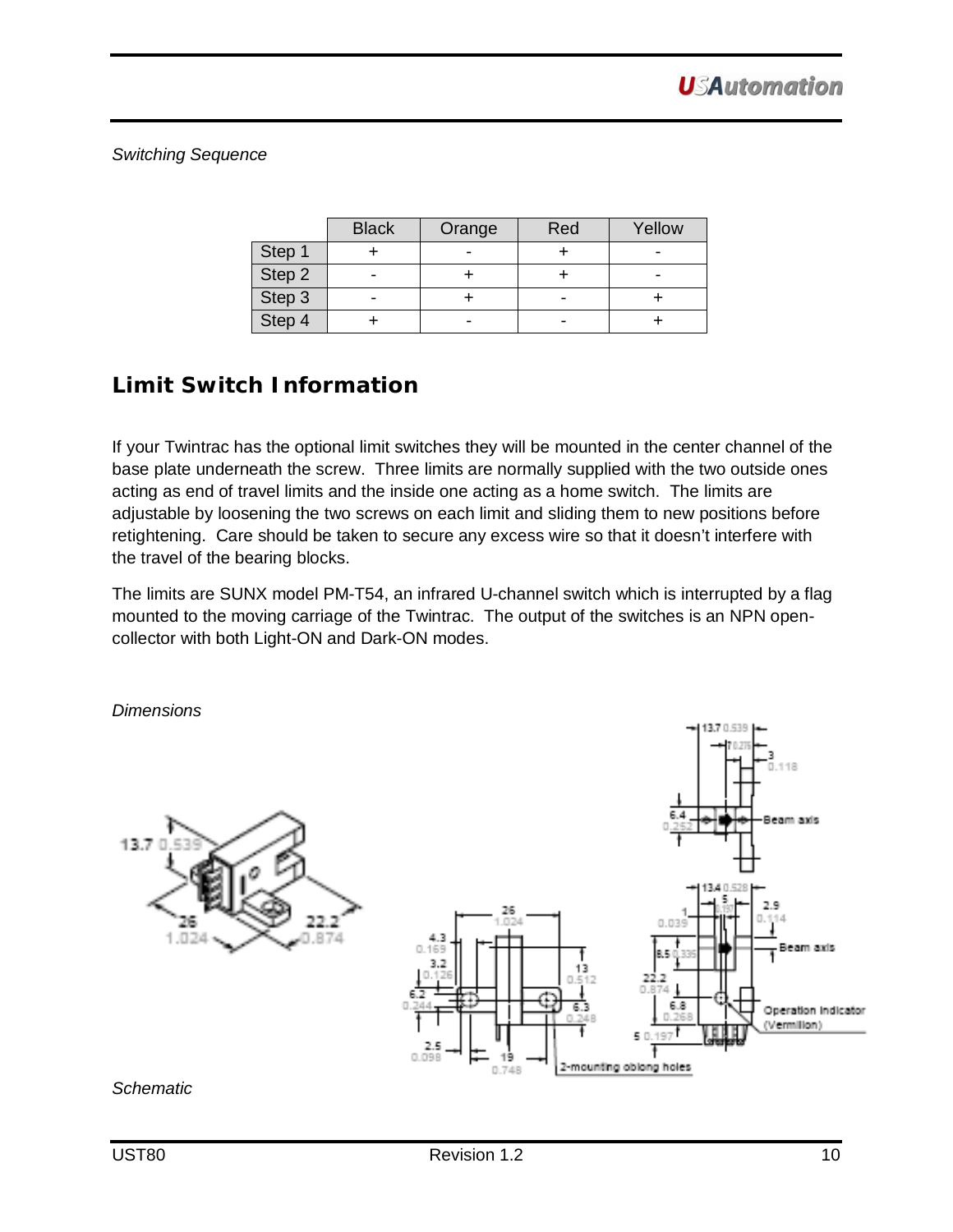<span id="page-9-2"></span><span id="page-9-0"></span>*Switching Sequence*

|        | <b>Black</b> | Orange | Red | Yellow |
|--------|--------------|--------|-----|--------|
| Step 1 |              |        |     |        |
| Step 2 |              |        |     | -      |
| Step 3 |              |        |     |        |
| Step 4 |              |        |     |        |

## <span id="page-9-1"></span>**Limit Switch Information**

If your Twintrac has the optional limit switches they will be mounted in the center channel of the base plate underneath the screw. Three limits are normally supplied with the two outside ones acting as end of travel limits and the inside one acting as a home switch. The limits are adjustable by loosening the two screws on each limit and sliding them to new positions before retightening. Care should be taken to secure any excess wire so that it doesn't interfere with the travel of the bearing blocks.

The limits are SUNX model PM-T54, an infrared U-channel switch which is interrupted by a flag mounted to the moving carriage of the Twintrac. The output of the switches is an NPN opencollector with both Light-ON and Dark-ON modes.

*Dimensions*  $118$ Beam axis 13.7  $0.0$ eam axis ٦ 6.8 Operation Indicator (Vermillon) 2-mounting oblong holes 0.748

#### <span id="page-9-3"></span>*Schematic*